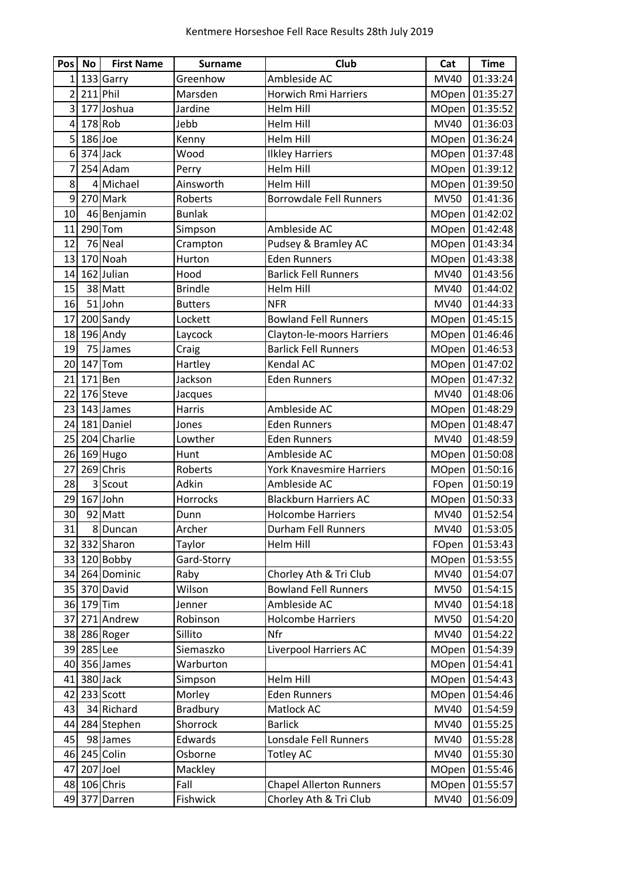| Pos            | <b>No</b>  | <b>First Name</b> | <b>Surname</b> | Club                            | Cat          | <b>Time</b>    |
|----------------|------------|-------------------|----------------|---------------------------------|--------------|----------------|
| $\mathbf{1}$   |            | 133 Garry         | Greenhow       | Ambleside AC                    | MV40         | 01:33:24       |
| $\overline{2}$ | $211$ Phil |                   | Marsden        | <b>Horwich Rmi Harriers</b>     | MOpen        | 01:35:27       |
| 3              |            | 177 Joshua        | Jardine        | Helm Hill                       | MOpen        | 01:35:52       |
| $\overline{4}$ |            | $178$ Rob         | Jebb           | <b>Helm Hill</b>                | <b>MV40</b>  | 01:36:03       |
| 5              | $186$ Joe  |                   | Kenny          | Helm Hill                       | MOpen        | 01:36:24       |
| 6              |            | 374 Jack          | Wood           | <b>Ilkley Harriers</b>          |              | MOpen 01:37:48 |
| 7              |            | 254 Adam          | Perry          | Helm Hill                       | MOpen        | 01:39:12       |
| 8              |            | 4 Michael         | Ainsworth      | <b>Helm Hill</b>                | MOpen        | 01:39:50       |
| 9              |            | 270 Mark          | Roberts        | <b>Borrowdale Fell Runners</b>  | <b>MV50</b>  | 01:41:36       |
| 10             |            | 46 Benjamin       | <b>Bunlak</b>  |                                 | MOpen        | 01:42:02       |
| 11             |            | 290 Tom           | Simpson        | Ambleside AC                    |              | MOpen 01:42:48 |
| 12             |            | 76 Neal           | Crampton       | Pudsey & Bramley AC             | MOpen        | 01:43:34       |
| 13             |            | 170 Noah          | Hurton         | <b>Eden Runners</b>             | MOpen        | 01:43:38       |
| 14             |            | 162 Julian        | Hood           | <b>Barlick Fell Runners</b>     | MV40         | 01:43:56       |
| 15             |            | 38 Matt           | <b>Brindle</b> | Helm Hill                       | MV40         | 01:44:02       |
| 16             |            | 51 John           | <b>Butters</b> | <b>NFR</b>                      | MV40         | 01:44:33       |
| 17             |            | 200 Sandy         | Lockett        | <b>Bowland Fell Runners</b>     | MOpen        | 01:45:15       |
| 18             |            | 196 Andy          | Laycock        | Clayton-le-moors Harriers       | MOpen        | 01:46:46       |
| 19             |            | 75 James          | Craig          | <b>Barlick Fell Runners</b>     | MOpen        | 01:46:53       |
| 20             |            | $147$ Tom         | Hartley        | Kendal AC                       | MOpen        | 01:47:02       |
| 21             | $171$ Ben  |                   | Jackson        | <b>Eden Runners</b>             | MOpen        | 01:47:32       |
| 22             |            | 176 Steve         | Jacques        |                                 | MV40         | 01:48:06       |
| 23             |            | 143 James         | Harris         | Ambleside AC                    | MOpen        | 01:48:29       |
| 24             |            | 181 Daniel        | Jones          | <b>Eden Runners</b>             | MOpen        | 01:48:47       |
| 25             |            | 204 Charlie       | Lowther        | <b>Eden Runners</b>             | MV40         | 01:48:59       |
| 26             |            | 169 Hugo          | Hunt           | Ambleside AC                    | MOpen        | 01:50:08       |
| 27             |            | 269 Chris         | Roberts        | <b>York Knavesmire Harriers</b> | MOpen        | 01:50:16       |
| 28             |            | 3 Scout           | Adkin          | Ambleside AC                    | FOpen        | 01:50:19       |
| 29             |            | 167 John          | Horrocks       | <b>Blackburn Harriers AC</b>    | MOpen        | 01:50:33       |
| 30             |            | 92 Matt           | Dunn           | <b>Holcombe Harriers</b>        | MV40         | 01:52:54       |
| 31             |            | 8 Duncan          | Archer         | Durham Fell Runners             | <b>MV40</b>  | 01:53:05       |
| 32             |            | 332 Sharon        | Taylor         | Helm Hill                       | FOpen        | 01:53:43       |
|                |            | 33 120 Bobby      | Gard-Storry    |                                 | <b>MOpen</b> | 01:53:55       |
| 34             |            | 264 Dominic       | Raby           | Chorley Ath & Tri Club          | <b>MV40</b>  | 01:54:07       |
| 35             |            | 370 David         | Wilson         | <b>Bowland Fell Runners</b>     | <b>MV50</b>  | 01:54:15       |
| 36             | $179$ Tim  |                   | Jenner         | Ambleside AC                    | <b>MV40</b>  | 01:54:18       |
| 37             |            | 271 Andrew        | Robinson       | <b>Holcombe Harriers</b>        | <b>MV50</b>  | 01:54:20       |
|                |            | 38 286 Roger      | Sillito        | Nfr                             | <b>MV40</b>  | 01:54:22       |
|                | 39 285 Lee |                   | Siemaszko      | Liverpool Harriers AC           | <b>MOpen</b> | 01:54:39       |
| 40             |            | 356 James         | Warburton      |                                 | <b>MOpen</b> | 01:54:41       |
| 41             |            | 380 Jack          | Simpson        | Helm Hill                       | <b>MOpen</b> | 01:54:43       |
| 42             |            | 233 Scott         | Morley         | <b>Eden Runners</b>             | <b>MOpen</b> | 01:54:46       |
| 43             |            | 34 Richard        | Bradbury       | Matlock AC                      | <b>MV40</b>  | 01:54:59       |
| 44             |            | 284 Stephen       | Shorrock       | <b>Barlick</b>                  | MV40         | 01:55:25       |
| 45             |            | 98 James          | Edwards        | Lonsdale Fell Runners           | MV40         | 01:55:28       |
| 46             |            | 245 Colin         | Osborne        | <b>Totley AC</b>                | <b>MV40</b>  | 01:55:30       |
| 47             |            | 207 Joel          | Mackley        |                                 | <b>MOpen</b> | 01:55:46       |
|                |            | 48 106 Chris      | Fall           | <b>Chapel Allerton Runners</b>  | <b>MOpen</b> | 01:55:57       |
| 49             | 377        | Darren            | Fishwick       | Chorley Ath & Tri Club          | MV40         | 01:56:09       |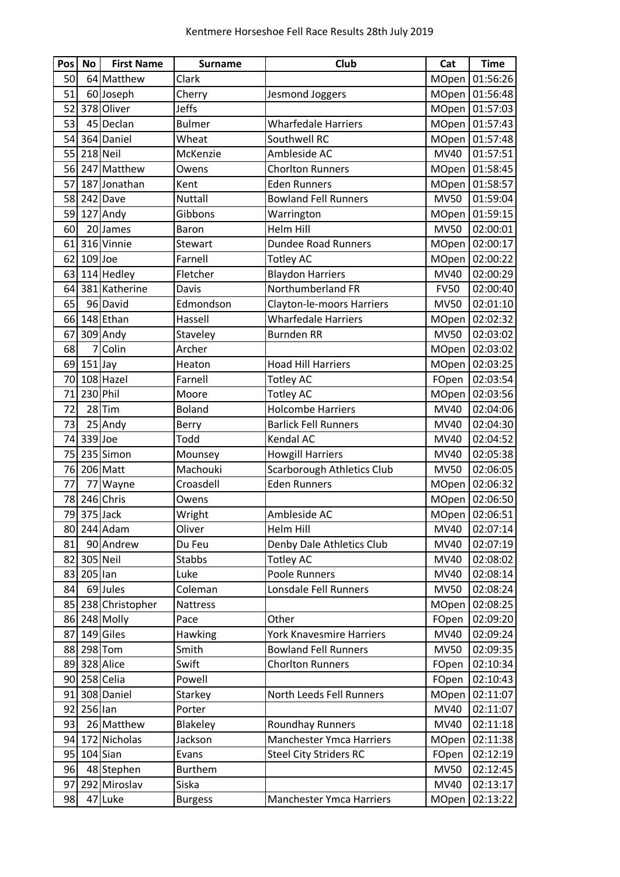| Pos | <b>No</b> | <b>First Name</b> | <b>Surname</b>  | Club                              | Cat          | <b>Time</b> |
|-----|-----------|-------------------|-----------------|-----------------------------------|--------------|-------------|
| 50  |           | 64 Matthew        | Clark           |                                   | MOpen        | 01:56:26    |
| 51  |           | 60 Joseph         | Cherry          | Jesmond Joggers                   | MOpen        | 01:56:48    |
| 52  |           | 378 Oliver        | <b>Jeffs</b>    |                                   | MOpen        | 01:57:03    |
| 53  |           | 45 Declan         | <b>Bulmer</b>   | <b>Wharfedale Harriers</b>        | MOpen        | 01:57:43    |
| 54  |           | 364 Daniel        | Wheat           | Southwell RC                      | MOpen        | 01:57:48    |
| 55  |           | 218 Neil          | McKenzie        | Ambleside AC                      | <b>MV40</b>  | 01:57:51    |
| 56  |           | 247 Matthew       | Owens           | <b>Chorlton Runners</b>           | MOpen        | 01:58:45    |
| 57  |           | 187 Jonathan      | Kent            | <b>Eden Runners</b>               | MOpen        | 01:58:57    |
| 58  |           | 242 Dave          | <b>Nuttall</b>  | <b>Bowland Fell Runners</b>       | <b>MV50</b>  | 01:59:04    |
| 59  |           | 127 Andy          | Gibbons         | Warrington                        | MOpen        | 01:59:15    |
| 60  |           | 20 James          | Baron           | <b>Helm Hill</b>                  | <b>MV50</b>  | 02:00:01    |
| 61  |           | 316 Vinnie        | Stewart         | <b>Dundee Road Runners</b>        | <b>MOpen</b> | 02:00:17    |
| 62  | $109$ Joe |                   | Farnell         | <b>Totley AC</b>                  | MOpen        | 02:00:22    |
| 63  |           | 114 Hedley        | Fletcher        | Blaydon Harriers                  | MV40         | 02:00:29    |
| 64  |           | 381 Katherine     | Davis           | Northumberland FR                 | <b>FV50</b>  | 02:00:40    |
| 65  |           | 96 David          | Edmondson       | Clayton-le-moors Harriers         | <b>MV50</b>  | 02:01:10    |
| 66  |           | 148 Ethan         | Hassell         | <b>Wharfedale Harriers</b>        | MOpen        | 02:02:32    |
| 67  |           | 309 Andy          | Staveley        | <b>Burnden RR</b>                 | <b>MV50</b>  | 02:03:02    |
| 68  |           | 7 Colin           | Archer          |                                   | MOpen        | 02:03:02    |
| 69  | $151$ Jay |                   | Heaton          | <b>Hoad Hill Harriers</b>         | MOpen        | 02:03:25    |
| 70  |           | 108 Hazel         | Farnell         | <b>Totley AC</b>                  | FOpen        | 02:03:54    |
| 71  | 230 Phil  |                   | Moore           | <b>Totley AC</b>                  | <b>MOpen</b> | 02:03:56    |
| 72  |           | $28$ Tim          | <b>Boland</b>   | <b>Holcombe Harriers</b>          | MV40         | 02:04:06    |
| 73  |           | 25 Andy           | Berry           | <b>Barlick Fell Runners</b>       | MV40         | 02:04:30    |
| 74  | 339 Joe   |                   | Todd            | Kendal AC                         | MV40         | 02:04:52    |
| 75  |           | 235 Simon         | Mounsey         | <b>Howgill Harriers</b>           | MV40         | 02:05:38    |
| 76  |           | 206 Matt          | Machouki        | <b>Scarborough Athletics Club</b> | <b>MV50</b>  | 02:06:05    |
| 77  | 77        | Wayne             | Croasdell       | <b>Eden Runners</b>               | MOpen        | 02:06:32    |
| 78  |           | 246 Chris         | Owens           |                                   | MOpen        | 02:06:50    |
| 79  |           | 375 Jack          | Wright          | Ambleside AC                      | MOpen        | 02:06:51    |
|     |           | 80 244 Adam       | Oliver          | Helm Hill                         | MV40         | 02:07:14    |
| 81  |           | 90 Andrew         | Du Feu          | Denby Dale Athletics Club         | MV40         | 02:07:19    |
| 82  | 305 Neil  |                   | <b>Stabbs</b>   | <b>Totley AC</b>                  | MV40         | 02:08:02    |
| 83  | $205$ lan |                   | Luke            | Poole Runners                     | MV40         | 02:08:14    |
| 84  |           | 69 Jules          | Coleman         | Lonsdale Fell Runners             | <b>MV50</b>  | 02:08:24    |
| 85  |           | 238 Christopher   | <b>Nattress</b> |                                   | <b>MOpen</b> | 02:08:25    |
| 86  |           | 248 Molly         | Pace            | Other                             | FOpen        | 02:09:20    |
| 87  |           | 149 Giles         | Hawking         | York Knavesmire Harriers          | MV40         | 02:09:24    |
| 88  |           | 298 Tom           | Smith           | <b>Bowland Fell Runners</b>       | <b>MV50</b>  | 02:09:35    |
| 89  |           | 328 Alice         | Swift           | <b>Chorlton Runners</b>           | FOpen        | 02:10:34    |
| 90  |           | 258 Celia         | Powell          |                                   | FOpen        | 02:10:43    |
| 91  |           | 308 Daniel        | Starkey         | North Leeds Fell Runners          | <b>MOpen</b> | 02:11:07    |
| 92  | 256 lan   |                   | Porter          |                                   | MV40         | 02:11:07    |
| 93  |           | 26 Matthew        | Blakeley        | <b>Roundhay Runners</b>           | MV40         | 02:11:18    |
| 94  |           | 172 Nicholas      | Jackson         | <b>Manchester Ymca Harriers</b>   | <b>MOpen</b> | 02:11:38    |
| 95  |           | $104$ Sian        | Evans           | <b>Steel City Striders RC</b>     | FOpen        | 02:12:19    |
| 96  |           | 48 Stephen        | <b>Burthem</b>  |                                   | <b>MV50</b>  | 02:12:45    |
| 97  |           | 292 Miroslav      | Siska           |                                   | MV40         | 02:13:17    |
| 98  |           | 47 Luke           | <b>Burgess</b>  | <b>Manchester Ymca Harriers</b>   | <b>MOpen</b> | 02:13:22    |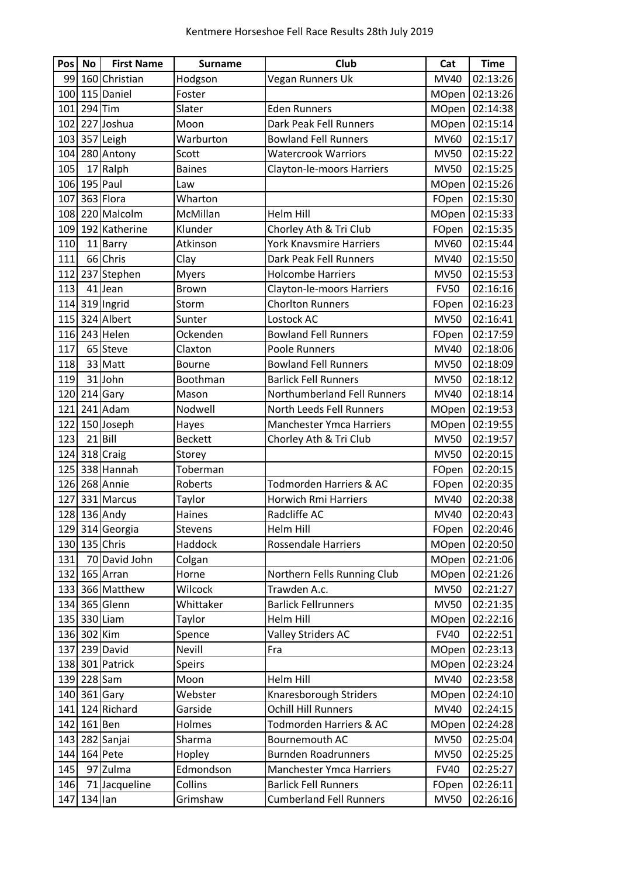| <b>Pos</b> | No           | <b>First Name</b> | <b>Surname</b> | Club                               | Cat          | <b>Time</b> |
|------------|--------------|-------------------|----------------|------------------------------------|--------------|-------------|
|            |              | 99 160 Christian  | Hodgson        | Vegan Runners Uk                   | MV40         | 02:13:26    |
|            |              | 100 115 Daniel    | Foster         |                                    | MOpen        | 02:13:26    |
| 101        | $294$ Tim    |                   | Slater         | <b>Eden Runners</b>                | MOpen        | 02:14:38    |
|            |              | 102 227 Joshua    | Moon           | Dark Peak Fell Runners             | MOpen        | 02:15:14    |
| 103        |              | 357 Leigh         | Warburton      | <b>Bowland Fell Runners</b>        | MV60         | 02:15:17    |
|            |              | 104 280 Antony    | Scott          | <b>Watercrook Warriors</b>         | <b>MV50</b>  | 02:15:22    |
| 105        |              | 17 Ralph          | <b>Baines</b>  | Clayton-le-moors Harriers          | <b>MV50</b>  | 02:15:25    |
|            | 106 195 Paul |                   | Law            |                                    | MOpen        | 02:15:26    |
| 107        |              | 363 Flora         | Wharton        |                                    | FOpen        | 02:15:30    |
|            |              | 108 220 Malcolm   | McMillan       | Helm Hill                          | MOpen        | 02:15:33    |
|            |              | 109 192 Katherine | Klunder        | Chorley Ath & Tri Club             | FOpen        | 02:15:35    |
| 110        |              | 11 Barry          | Atkinson       | <b>York Knavsmire Harriers</b>     | <b>MV60</b>  | 02:15:44    |
| 111        |              | 66 Chris          | Clay           | Dark Peak Fell Runners             | MV40         | 02:15:50    |
|            |              | 112 237 Stephen   | <b>Myers</b>   | <b>Holcombe Harriers</b>           | <b>MV50</b>  | 02:15:53    |
| 113        |              | 41 Jean           | <b>Brown</b>   | Clayton-le-moors Harriers          | <b>FV50</b>  | 02:16:16    |
|            |              | 114 319 Ingrid    | Storm          | <b>Chorlton Runners</b>            | FOpen        | 02:16:23    |
| 115        |              | 324 Albert        | Sunter         | Lostock AC                         | <b>MV50</b>  | 02:16:41    |
| 116        |              | 243 Helen         | Ockenden       | <b>Bowland Fell Runners</b>        | FOpen        | 02:17:59    |
| 117        |              | 65 Steve          | Claxton        | Poole Runners                      | MV40         | 02:18:06    |
| 118        |              | 33 Matt           | <b>Bourne</b>  | <b>Bowland Fell Runners</b>        | <b>MV50</b>  | 02:18:09    |
| 119        |              | 31 John           | Boothman       | <b>Barlick Fell Runners</b>        | <b>MV50</b>  | 02:18:12    |
|            |              | 120 214 Gary      | Mason          | Northumberland Fell Runners        | MV40         | 02:18:14    |
| 121        |              | 241 Adam          | Nodwell        | North Leeds Fell Runners           | MOpen        | 02:19:53    |
|            |              | 122 150 Joseph    | Hayes          | <b>Manchester Ymca Harriers</b>    | MOpen        | 02:19:55    |
| 123        |              | $21$ Bill         | <b>Beckett</b> | Chorley Ath & Tri Club             | <b>MV50</b>  | 02:19:57    |
|            |              | 124 318 Craig     | Storey         |                                    | <b>MV50</b>  | 02:20:15    |
| 125        |              | 338 Hannah        | Toberman       |                                    | FOpen        | 02:20:15    |
|            |              | 126 268 Annie     | Roberts        | <b>Todmorden Harriers &amp; AC</b> | FOpen        | 02:20:35    |
|            |              | 127 331 Marcus    | Taylor         | <b>Horwich Rmi Harriers</b>        | MV40         | 02:20:38    |
|            |              | 128 136 Andy      | Haines         | Radcliffe AC                       | <b>MV40</b>  | 02:20:43    |
|            |              | 129 314 Georgia   | Stevens        | Helm Hill                          | FOpen        | 02:20:46    |
|            |              | 130 135 Chris     | Haddock        | <b>Rossendale Harriers</b>         | <b>MOpen</b> | 02:20:50    |
| 131        |              | 70 David John     | Colgan         |                                    | MOpen        | 02:21:06    |
|            |              | 132 165 Arran     | Horne          | Northern Fells Running Club        | MOpen        | 02:21:26    |
|            |              | 133 366 Matthew   | Wilcock        | Trawden A.c.                       | <b>MV50</b>  | 02:21:27    |
|            |              | 134 365 Glenn     | Whittaker      | <b>Barlick Fellrunners</b>         | <b>MV50</b>  | 02:21:35    |
|            |              | 135 330 Liam      | Taylor         | Helm Hill                          | <b>MOpen</b> | 02:22:16    |
|            | 136 302 Kim  |                   | Spence         | <b>Valley Striders AC</b>          | <b>FV40</b>  | 02:22:51    |
|            |              | 137 239 David     | Nevill         | Fra                                | MOpen        | 02:23:13    |
|            |              | 138 301 Patrick   | <b>Speirs</b>  |                                    | <b>MOpen</b> | 02:23:24    |
|            | 139 228 Sam  |                   | Moon           | Helm Hill                          | MV40         | 02:23:58    |
|            |              | 140 361 Gary      | Webster        | Knaresborough Striders             | <b>MOpen</b> | 02:24:10    |
|            |              | 141 124 Richard   | Garside        | Ochill Hill Runners                | <b>MV40</b>  | 02:24:15    |
|            | 142 161 Ben  |                   | Holmes         | Todmorden Harriers & AC            | <b>MOpen</b> | 02:24:28    |
| 143        |              | 282 Sanjai        | Sharma         | Bournemouth AC                     | <b>MV50</b>  | 02:25:04    |
| 144        |              | 164 Pete          | Hopley         | <b>Burnden Roadrunners</b>         | <b>MV50</b>  | 02:25:25    |
| 145        |              | 97 Zulma          | Edmondson      | <b>Manchester Ymca Harriers</b>    | <b>FV40</b>  | 02:25:27    |
| 146        |              | 71 Jacqueline     | Collins        | <b>Barlick Fell Runners</b>        | FOpen        | 02:26:11    |
| 147        | $134$ lan    |                   | Grimshaw       | <b>Cumberland Fell Runners</b>     | <b>MV50</b>  | 02:26:16    |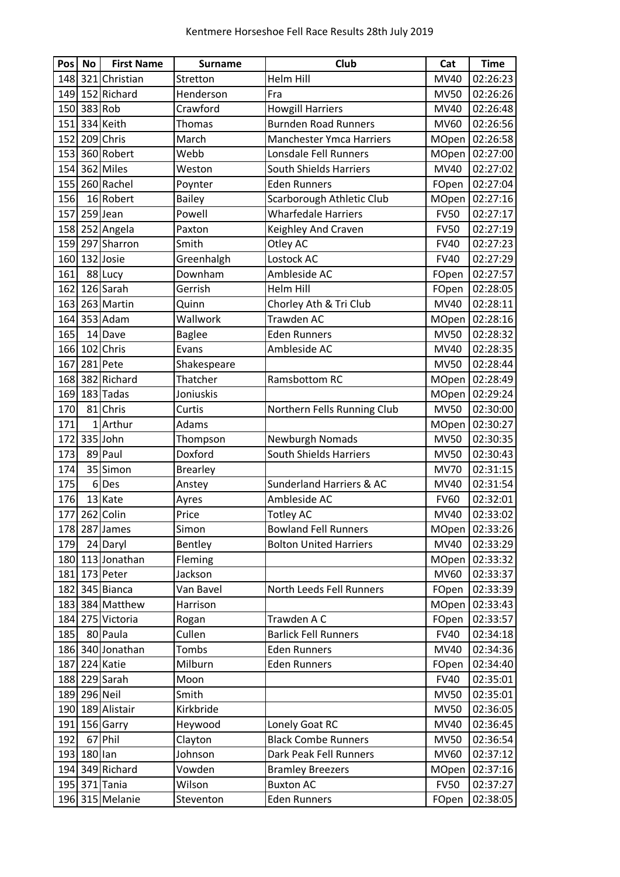| <b>Pos</b> | No           | <b>First Name</b> | <b>Surname</b>  | Club                                | Cat          | <b>Time</b>    |
|------------|--------------|-------------------|-----------------|-------------------------------------|--------------|----------------|
|            |              | 148 321 Christian | Stretton        | <b>Helm Hill</b>                    | <b>MV40</b>  | 02:26:23       |
|            |              | 149 152 Richard   | Henderson       | Fra                                 | <b>MV50</b>  | 02:26:26       |
|            | 150 383 Rob  |                   | Crawford        | <b>Howgill Harriers</b>             | <b>MV40</b>  | 02:26:48       |
|            |              | 151 334 Keith     | Thomas          | <b>Burnden Road Runners</b>         | <b>MV60</b>  | 02:26:56       |
|            |              | 152 209 Chris     | March           | <b>Manchester Ymca Harriers</b>     | <b>MOpen</b> | 02:26:58       |
|            |              | 153 360 Robert    | Webb            | Lonsdale Fell Runners               | MOpen        | 02:27:00       |
|            |              | 154 362 Miles     | Weston          | <b>South Shields Harriers</b>       | MV40         | 02:27:02       |
| 155        |              | 260 Rachel        | Poynter         | <b>Eden Runners</b>                 | FOpen        | 02:27:04       |
| 156        |              | 16 Robert         | <b>Bailey</b>   | Scarborough Athletic Club           | MOpen        | 02:27:16       |
| 157        |              | 259 Jean          | Powell          | <b>Wharfedale Harriers</b>          | <b>FV50</b>  | 02:27:17       |
|            |              | 158 252 Angela    | Paxton          | Keighley And Craven                 | <b>FV50</b>  | 02:27:19       |
|            |              | 159 297 Sharron   | Smith           | Otley AC                            | <b>FV40</b>  | 02:27:23       |
|            |              | 160 132 Josie     | Greenhalgh      | Lostock AC                          | <b>FV40</b>  | 02:27:29       |
| 161        |              | 88 Lucy           | Downham         | Ambleside AC                        | FOpen        | 02:27:57       |
| 162        |              | 126 Sarah         | Gerrish         | Helm Hill                           | FOpen        | 02:28:05       |
|            |              | 163 263 Martin    | Quinn           | Chorley Ath & Tri Club              | MV40         | 02:28:11       |
|            |              | 164 353 Adam      | Wallwork        | Trawden AC                          | MOpen        | 02:28:16       |
| 165        |              | 14 Dave           | <b>Baglee</b>   | <b>Eden Runners</b>                 | <b>MV50</b>  | 02:28:32       |
|            |              | 166 102 Chris     | Evans           | Ambleside AC                        | MV40         | 02:28:35       |
| 167        |              | 281 Pete          | Shakespeare     |                                     | <b>MV50</b>  | 02:28:44       |
|            |              | 168 382 Richard   | Thatcher        | Ramsbottom RC                       | <b>MOpen</b> | 02:28:49       |
|            |              | 169 183 Tadas     | Joniuskis       |                                     | MOpen        | 02:29:24       |
| 170        |              | 81 Chris          | Curtis          | Northern Fells Running Club         | <b>MV50</b>  | 02:30:00       |
| 171        |              | 1 Arthur          | Adams           |                                     | MOpen        | 02:30:27       |
| 172        |              | 335 John          | Thompson        | Newburgh Nomads                     | <b>MV50</b>  | 02:30:35       |
| 173        |              | 89 Paul           | Doxford         | <b>South Shields Harriers</b>       | <b>MV50</b>  | 02:30:43       |
| 174        |              | 35 Simon          | <b>Brearley</b> |                                     | <b>MV70</b>  | 02:31:15       |
| 175        | 6            | Des               | Anstey          | <b>Sunderland Harriers &amp; AC</b> | <b>MV40</b>  | 02:31:54       |
| 176        |              | 13 Kate           | Ayres           | Ambleside AC                        | <b>FV60</b>  | 02:32:01       |
| 177        |              | 262 Colin         | Price           | <b>Totley AC</b>                    | <b>MV40</b>  | 02:33:02       |
|            |              | 178 287 James     | Simon           | <b>Bowland Fell Runners</b>         |              | MOpen 02:33:26 |
| 179        |              | 24 Daryl          | Bentley         | <b>Bolton United Harriers</b>       | MV40         | 02:33:29       |
|            |              | 180 113 Jonathan  | Fleming         |                                     | MOpen        | 02:33:32       |
|            |              | 181 173 Peter     | Jackson         |                                     | <b>MV60</b>  | 02:33:37       |
| 182        |              | 345 Bianca        | Van Bavel       | North Leeds Fell Runners            | FOpen        | 02:33:39       |
|            |              | 183 384 Matthew   | Harrison        |                                     | <b>MOpen</b> | 02:33:43       |
|            |              | 184 275 Victoria  | Rogan           | Trawden A C                         | FOpen        | 02:33:57       |
| 185        |              | 80 Paula          | Cullen          | <b>Barlick Fell Runners</b>         | <b>FV40</b>  | 02:34:18       |
|            |              | 186 340 Jonathan  | Tombs           | <b>Eden Runners</b>                 | MV40         | 02:34:36       |
|            |              | 187 224 Katie     | Milburn         | <b>Eden Runners</b>                 | FOpen        | 02:34:40       |
|            |              | 188 229 Sarah     | Moon            |                                     | <b>FV40</b>  | 02:35:01       |
|            | 189 296 Neil |                   | Smith           |                                     | <b>MV50</b>  | 02:35:01       |
|            |              | 190 189 Alistair  | Kirkbride       |                                     | <b>MV50</b>  | 02:36:05       |
|            |              | 191 156 Garry     | Heywood         | Lonely Goat RC                      | MV40         | 02:36:45       |
| 192        |              | 67 Phil           | Clayton         | <b>Black Combe Runners</b>          | <b>MV50</b>  | 02:36:54       |
|            | 193 180 lan  |                   | Johnson         | Dark Peak Fell Runners              | MV60         | 02:37:12       |
|            |              | 194 349 Richard   | Vowden          | <b>Bramley Breezers</b>             | <b>MOpen</b> | 02:37:16       |
|            |              | 195 371 Tania     | Wilson          | <b>Buxton AC</b>                    | <b>FV50</b>  | 02:37:27       |
|            |              | 196 315 Melanie   | Steventon       | <b>Eden Runners</b>                 | FOpen        | 02:38:05       |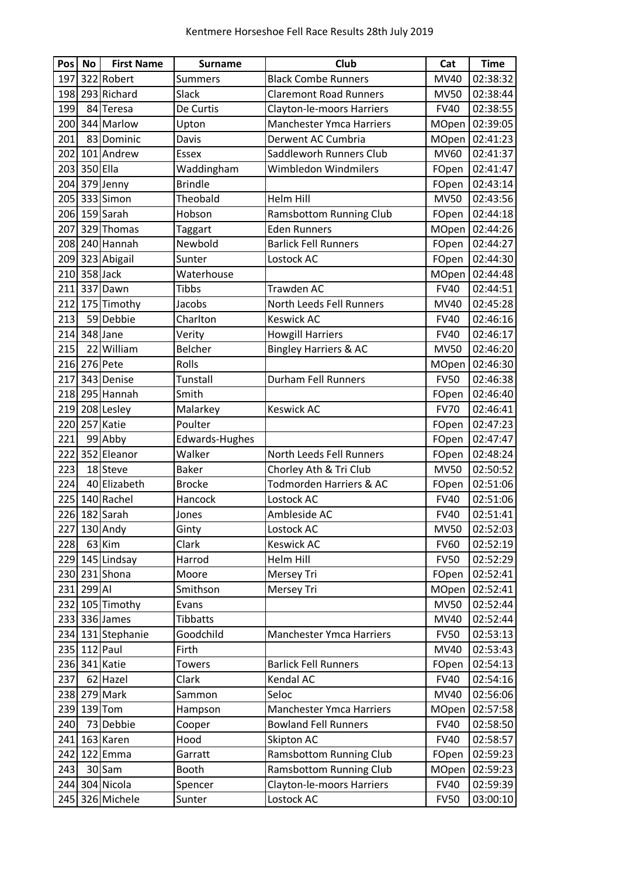| Pos | No           | <b>First Name</b> | <b>Surname</b>  | Club                             | Cat          | <b>Time</b> |
|-----|--------------|-------------------|-----------------|----------------------------------|--------------|-------------|
| 197 |              | 322 Robert        | <b>Summers</b>  | <b>Black Combe Runners</b>       | MV40         | 02:38:32    |
| 198 |              | 293 Richard       | Slack           | <b>Claremont Road Runners</b>    | <b>MV50</b>  | 02:38:44    |
| 199 |              | 84 Teresa         | De Curtis       | Clayton-le-moors Harriers        | <b>FV40</b>  | 02:38:55    |
| 200 |              | 344 Marlow        | Upton           | <b>Manchester Ymca Harriers</b>  | <b>MOpen</b> | 02:39:05    |
| 201 |              | 83 Dominic        | Davis           | Derwent AC Cumbria               | MOpen        | 02:41:23    |
| 202 |              | 101 Andrew        | Essex           | Saddleworh Runners Club          | MV60         | 02:41:37    |
|     | 203 350 Ella |                   | Waddingham      | Wimbledon Windmilers             | FOpen        | 02:41:47    |
| 204 |              | 379 Jenny         | <b>Brindle</b>  |                                  | FOpen        | 02:43:14    |
|     |              | 205 333 Simon     | Theobald        | <b>Helm Hill</b>                 | <b>MV50</b>  | 02:43:56    |
|     |              | 206 159 Sarah     | Hobson          | <b>Ramsbottom Running Club</b>   | FOpen        | 02:44:18    |
| 207 |              | 329 Thomas        | Taggart         | <b>Eden Runners</b>              | MOpen        | 02:44:26    |
|     |              | 208 240 Hannah    | Newbold         | <b>Barlick Fell Runners</b>      | FOpen        | 02:44:27    |
| 209 |              | 323 Abigail       | Sunter          | Lostock AC                       | FOpen        | 02:44:30    |
|     | 210 358 Jack |                   | Waterhouse      |                                  | MOpen        | 02:44:48    |
| 211 |              | 337 Dawn          | <b>Tibbs</b>    | Trawden AC                       | <b>FV40</b>  | 02:44:51    |
| 212 |              | 175 Timothy       | Jacobs          | North Leeds Fell Runners         | MV40         | 02:45:28    |
| 213 |              | 59 Debbie         | Charlton        | <b>Keswick AC</b>                | <b>FV40</b>  | 02:46:16    |
| 214 |              | 348 Jane          | Verity          | <b>Howgill Harriers</b>          | <b>FV40</b>  | 02:46:17    |
| 215 |              | 22 William        | Belcher         | <b>Bingley Harriers &amp; AC</b> | <b>MV50</b>  | 02:46:20    |
|     |              | 216 276 Pete      | Rolls           |                                  | MOpen        | 02:46:30    |
| 217 |              | 343 Denise        | Tunstall        | <b>Durham Fell Runners</b>       | <b>FV50</b>  | 02:46:38    |
| 218 |              | 295 Hannah        | Smith           |                                  | FOpen        | 02:46:40    |
| 219 |              | 208 Lesley        | Malarkey        | <b>Keswick AC</b>                | <b>FV70</b>  | 02:46:41    |
|     |              | 220 257 Katie     | Poulter         |                                  | FOpen        | 02:47:23    |
| 221 |              | 99 Abby           | Edwards-Hughes  |                                  | FOpen        | 02:47:47    |
| 222 |              | 352 Eleanor       | Walker          | North Leeds Fell Runners         | FOpen        | 02:48:24    |
| 223 |              | 18 Steve          | <b>Baker</b>    | Chorley Ath & Tri Club           | <b>MV50</b>  | 02:50:52    |
| 224 |              | 40 Elizabeth      | <b>Brocke</b>   | Todmorden Harriers & AC          | FOpen        | 02:51:06    |
|     |              | 225 140 Rachel    | Hancock         | Lostock AC                       | <b>FV40</b>  | 02:51:06    |
| 226 |              | 182 Sarah         | Jones           | Ambleside AC                     | <b>FV40</b>  | 02:51:41    |
|     |              | 227 130 Andy      | Ginty           | Lostock AC                       | <b>MV50</b>  | 02:52:03    |
| 228 |              | 63 Kim            | Clark           | <b>Keswick AC</b>                | <b>FV60</b>  | 02:52:19    |
|     |              | 229 145 Lindsay   | Harrod          | Helm Hill                        | <b>FV50</b>  | 02:52:29    |
|     |              | 230 231 Shona     | Moore           | Mersey Tri                       | FOpen        | 02:52:41    |
|     | 231 299 Al   |                   | Smithson        | Mersey Tri                       | <b>MOpen</b> | 02:52:41    |
|     |              | 232 105 Timothy   | Evans           |                                  | <b>MV50</b>  | 02:52:44    |
|     |              | 233 336 James     | <b>Tibbatts</b> |                                  | MV40         | 02:52:44    |
|     |              | 234 131 Stephanie | Goodchild       | Manchester Ymca Harriers         | <b>FV50</b>  | 02:53:13    |
|     | 235 112 Paul |                   | Firth           |                                  | MV40         | 02:53:43    |
|     |              | 236 341 Katie     | <b>Towers</b>   | <b>Barlick Fell Runners</b>      | FOpen        | 02:54:13    |
| 237 |              | 62 Hazel          | Clark           | Kendal AC                        | <b>FV40</b>  | 02:54:16    |
|     |              | 238 279 Mark      | Sammon          | Seloc                            | MV40         | 02:56:06    |
|     |              | 239 139 Tom       | Hampson         | <b>Manchester Ymca Harriers</b>  | <b>MOpen</b> | 02:57:58    |
| 240 |              | 73 Debbie         | Cooper          | <b>Bowland Fell Runners</b>      | <b>FV40</b>  | 02:58:50    |
| 241 |              | 163 Karen         | Hood            | Skipton AC                       | <b>FV40</b>  | 02:58:57    |
| 242 |              | 122 Emma          | Garratt         | Ramsbottom Running Club          | FOpen        | 02:59:23    |
| 243 |              | 30 Sam            | Booth           | Ramsbottom Running Club          | <b>MOpen</b> | 02:59:23    |
|     |              | 244 304 Nicola    | Spencer         | Clayton-le-moors Harriers        | <b>FV40</b>  | 02:59:39    |
|     |              | 245 326 Michele   | Sunter          | Lostock AC                       | <b>FV50</b>  | 03:00:10    |